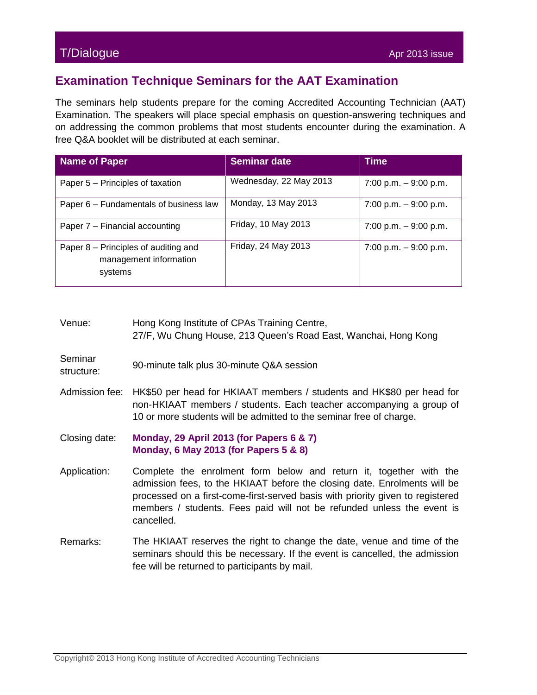## T/Dialogue Apr 2013 issue

## **Examination Technique Seminars for the AAT Examination**

The seminars help students prepare for the coming Accredited Accounting Technician (AAT) Examination. The speakers will place special emphasis on question-answering techniques and on addressing the common problems that most students encounter during the examination. A free Q&A booklet will be distributed at each seminar.

| <b>Name of Paper</b>                                                      | <b>Seminar date</b>    | <b>Time</b>            |
|---------------------------------------------------------------------------|------------------------|------------------------|
| Paper 5 – Principles of taxation                                          | Wednesday, 22 May 2013 | 7:00 p.m. $-9:00$ p.m. |
| Paper 6 – Fundamentals of business law                                    | Monday, 13 May 2013    | 7:00 p.m. $-9:00$ p.m. |
| Paper 7 – Financial accounting                                            | Friday, 10 May 2013    | 7:00 p.m. $-9:00$ p.m. |
| Paper 8 – Principles of auditing and<br>management information<br>systems | Friday, 24 May 2013    | 7:00 p.m. $-9:00$ p.m. |

- Venue: Hong Kong Institute of CPAs Training Centre, 27/F, Wu Chung House, 213 Queen's Road East, Wanchai, Hong Kong
- **Seminar** structure: 90-minute talk plus 30-minute Q&A session
- Admission fee: HK\$50 per head for HKIAAT members / students and HK\$80 per head for non-HKIAAT members / students. Each teacher accompanying a group of 10 or more students will be admitted to the seminar free of charge.
- Closing date: **Monday, 29 April 2013 (for Papers 6 & 7) Monday, 6 May 2013 (for Papers 5 & 8)**
- Application: Complete the enrolment form below and return it, together with the admission fees, to the HKIAAT before the closing date. Enrolments will be processed on a first-come-first-served basis with priority given to registered members / students. Fees paid will not be refunded unless the event is cancelled.
- Remarks: The HKIAAT reserves the right to change the date, venue and time of the seminars should this be necessary. If the event is cancelled, the admission fee will be returned to participants by mail.